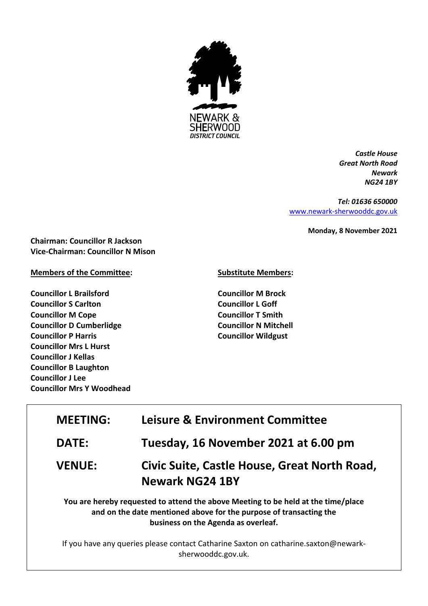

*Castle House Great North Road Newark NG24 1BY*

*Tel: 01636 650000* [www.newark-sherwooddc.gov.uk](http://www.newark-sherwooddc.gov.uk/)

**Monday, 8 November 2021**

**Chairman: Councillor R Jackson Vice-Chairman: Councillor N Mison**

## **Members of the Committee:**

**Councillor L Brailsford Councillor S Carlton Councillor M Cope Councillor D Cumberlidge Councillor P Harris Councillor Mrs L Hurst Councillor J Kellas Councillor B Laughton Councillor J Lee Councillor Mrs Y Woodhead**

## **Substitute Members:**

**Councillor M Brock Councillor L Goff Councillor T Smith Councillor N Mitchell Councillor Wildgust**

| <b>MEETING:</b> | <b>Leisure &amp; Environment Committee</b>                                                                                                              |  |
|-----------------|---------------------------------------------------------------------------------------------------------------------------------------------------------|--|
| <b>DATE:</b>    | Tuesday, 16 November 2021 at 6.00 pm                                                                                                                    |  |
| <b>VENUE:</b>   | Civic Suite, Castle House, Great North Road,<br><b>Newark NG24 1BY</b>                                                                                  |  |
|                 | You are hereby requested to attend the above Meeting to be held at the time/place<br>and on the date mentioned above for the purpose of transacting the |  |

**business on the Agenda as overleaf.**

If you have any queries please contact Catharine Saxton on catharine.saxton@newarksherwooddc.gov.uk.